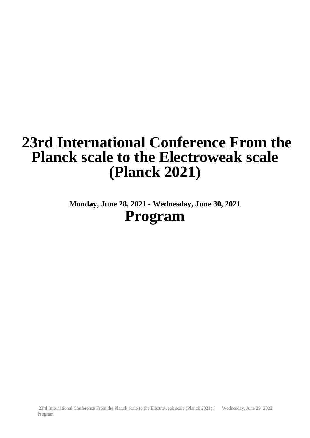# **23rd International Conference From the Planck scale to the Electroweak scale (Planck 2021)**

**Monday, June 28, 2021 - Wednesday, June 30, 2021 Program**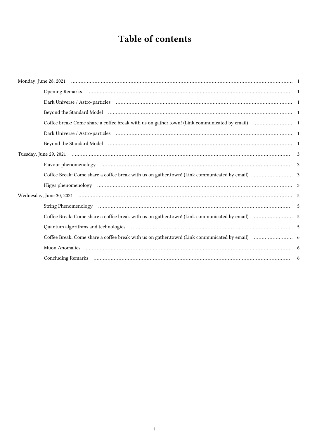## Table of contents

|  | Beyond the Standard Model (and according to the control of the standard Model (and according to the standard Model) (and according to the standard Model) (and according to the standard Model) (and according to the standard |  |
|--|--------------------------------------------------------------------------------------------------------------------------------------------------------------------------------------------------------------------------------|--|
|  |                                                                                                                                                                                                                                |  |
|  |                                                                                                                                                                                                                                |  |
|  | Beyond the Standard Model (and according to the control of the standard Model (and according to the standard Model) (and according to the standard Model) (and according to the standard Model) (and according to the standard |  |
|  |                                                                                                                                                                                                                                |  |
|  |                                                                                                                                                                                                                                |  |
|  |                                                                                                                                                                                                                                |  |
|  |                                                                                                                                                                                                                                |  |
|  |                                                                                                                                                                                                                                |  |
|  |                                                                                                                                                                                                                                |  |
|  |                                                                                                                                                                                                                                |  |
|  | Quantum algorithms and technologies (and the contract of the contract of the state of the state of the state of the state of the state of the state of the state of the state of the state of the state of the state of the st |  |
|  |                                                                                                                                                                                                                                |  |
|  |                                                                                                                                                                                                                                |  |
|  |                                                                                                                                                                                                                                |  |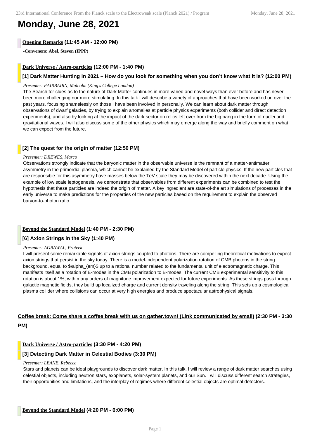## **Monday, June 28, 2021**

## **Opening Remarks (11:45 AM - 12:00 PM)**

**-Conveners: Abel, Steven (IPPP)**

### **Dark Universe / Astro-particles (12:00 PM - 1:40 PM)**

## **[1] Dark Matter Hunting in 2021 – How do you look for something when you don't know what it is? (12:00 PM)**

#### *Presenter: FAIRBAIRN, Malcolm (King's College London)*

The Search for clues as to the nature of Dark Matter continues in more varied and novel ways than ever before and has never been more challenging nor more stimulating. In this talk I will describe a variety of approaches that have been worked on over the past years, focusing shamelessly on those I have been involved in personally. We can learn about dark matter through observations of dwarf galaxies, by trying to explain anomalies at particle physics experiments (both collider and direct detection experiments), and also by looking at the impact of the dark sector on relics left over from the big bang in the form of nuclei and gravitational waves. I will also discuss some of the other physics which may emerge along the way and briefly comment on what we can expect from the future.

## **[2] The quest for the origin of matter (12:50 PM)**

#### *Presenter: DREWES, Marco*

Observations strongly indicate that the baryonic matter in the observable universe is the remnant of a matter-antimatter asymmetry in the primordial plasma, which cannot be explained by the Standard Model of particle physics. If the new particles that are responsible for this asymmetry have masses below the TeV scale they may be discovered within the next decade. Using the example of low scale leptogenesis, we demonstrate that observables from different experiments can be combined to test the hypothesis that these particles are indeed the origin of matter. A key ingredient are state-of-the art simulations of processes in the early universe to make predictions for the properties of the new particles based on the requirement to explain the observed baryon-to-photon ratio.

## **Beyond the Standard Model (1:40 PM - 2:30 PM)**

## **[6] Axion Strings in the Sky (1:40 PM)**

#### *Presenter: AGRAWAL, Prateek*

I will present some remarkable signals of axion strings coupled to photons. There are compelling theoretical motivations to expect axion strings that persist in the sky today. There is a model-independent polarization rotation of CMB photons in the string background, equal to \$\alpha {em}\$ up to a rational number related to the fundamental unit of electromagnetic charge. This manifests itself as a rotation of E-modes in the CMB polarization to B-modes. The current CMB experimental sensitivity to this rotation is about 1%, with many orders of magnitude improvement expected for future experiments. As these strings pass through galactic magnetic fields, they build up localized charge and current density traveling along the string. This sets up a cosmological plasma collider where collisions can occur at very high energies and produce spectacular astrophysical signals.

## **Coffee break: Come share a coffee break with us on gather.town! (Link communicated by email) (2:30 PM - 3:30 PM)**

## **Dark Universe / Astro-particles (3:30 PM - 4:20 PM)**

#### **[3] Detecting Dark Matter in Celestial Bodies (3:30 PM)**

#### *Presenter: LEANE, Rebecca*

Stars and planets can be ideal playgrounds to discover dark matter. In this talk, I will review a range of dark matter searches using celestial objects, including neutron stars, exoplanets, solar-system planets, and our Sun. I will discuss different search strategies, their opportunities and limitations, and the interplay of regimes where different celestial objects are optimal detectors.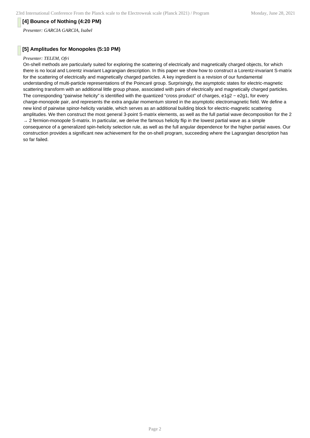## **[4] Bounce of Nothing (4:20 PM)**

*Presenter: GARCIA GARCIA, Isabel*

## **[5] Amplitudes for Monopoles (5:10 PM)**

#### *Presenter: TELEM, Ofri*

On-shell methods are particularly suited for exploring the scattering of electrically and magnetically charged objects, for which there is no local and Lorentz invariant Lagrangian description. In this paper we show how to construct a Lorentz-invariant S-matrix for the scattering of electrically and magnetically charged particles. A key ingredient is a revision of our fundamental understanding of multi-particle representations of the Poincaré group. Surprisingly, the asymptotic states for electric-magnetic scattering transform with an additional little group phase, associated with pairs of electrically and magnetically charged particles. The corresponding "pairwise helicity" is identified with the quantized "cross product" of charges, e1g2 − e2g1, for every charge-monopole pair, and represents the extra angular momentum stored in the asymptotic electromagnetic field. We define a new kind of pairwise spinor-helicity variable, which serves as an additional building block for electric-magnetic scattering amplitudes. We then construct the most general 3-point S-matrix elements, as well as the full partial wave decomposition for the 2  $\rightarrow$  2 fermion-monopole S-matrix. In particular, we derive the famous helicity flip in the lowest partial wave as a simple consequence of a generalized spin-helicity selection rule, as well as the full angular dependence for the higher partial waves. Our construction provides a significant new achievement for the on-shell program, succeeding where the Lagrangian description has so far failed.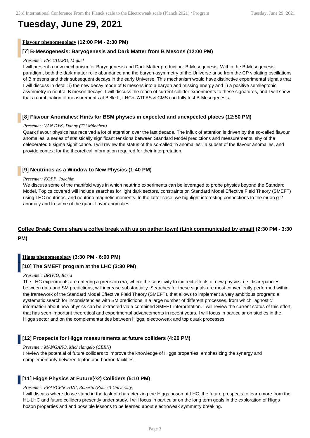## **Tuesday, June 29, 2021**

## **Flavour phenomenology (12:00 PM - 2:30 PM)**

## **[7] B-Mesogenesis: Baryogenesis and Dark Matter from B Mesons (12:00 PM)**

#### *Presenter: ESCUDERO, Miguel*

I will present a new mechanism for Baryogenesis and Dark Matter production: B-Mesogenesis. Within the B-Mesogenesis paradigm, both the dark matter relic abundance and the baryon asymmetry of the Universe arise from the CP violating oscillations of B mesons and their subsequent decays in the early Universe. This mechanism would have distinctive experimental signals that I will discuss in detail: i) the new decay mode of B mesons into a baryon and missing energy and ii) a positive semileptonic asymmetry in neutral B meson decays. I will discuss the reach of current collider experiments to these signatures, and I will show that a combination of measurements at Belle II, LHCb, ATLAS & CMS can fully test B-Mesogenesis.

## **[8] Flavour Anomalies: Hints for BSM physics in expected and unexpected places (12:50 PM)**

#### *Presenter: VAN DYK, Danny (TU München)*

Quark flavour physics has received a lot of attention over the last decade. The influx of attention is driven by the so-called flavour anomalies: a series of statistically significant tensions between Standard Model predictions and measurements, shy of the celeberated 5 sigma significance. I will review the status of the so-called "b anomalies", a subset of the flavour anomalies, and provide context for the theoretical information required for their interpretation.

## **[9] Neutrinos as a Window to New Physics (1:40 PM)**

#### *Presenter: KOPP, Joachim*

We discuss some of the manifold ways in which neutrino experiments can be leveraged to probe physics beyond the Standard Model. Topics covered will include searches for light dark sectors, constraints on Standard Model Effective Field Theory (SMEFT) using LHC neutrinos, and neutrino magnetic moments. In the latter case, we highlight interesting connections to the muon g-2 anomaly and to some of the quark flavor anomalies.

## **Coffee Break: Come share a coffee break with us on gather.town! (Link communicated by email) (2:30 PM - 3:30 PM)**

## **Higgs phenomenology (3:30 PM - 6:00 PM)**

## **[10] The SMEFT program at the LHC (3:30 PM)**

#### *Presenter: BRIVIO, Ilaria*

The LHC experiments are entering a precision era, where the sensitivity to indirect effects of new physics, i.e. discrepancies between data and SM predictions, will increase substantially. Searches for these signals are most conveniently performed within the framework of the Standard Model Effective Field Theory (SMEFT), that allows to implement a very ambitious program: a systematic search for inconsistencies with SM predictions in a large number of different processes, from which "agnostic" information about new physics can be extracted via a combined SMEFT interpretation. I will review the current status of this effort, that has seen important theoretical and experimental advancements in recent years. I will focus in particular on studies in the Higgs sector and on the complementarities between Higgs, electroweak and top quark processes.

## **[12] Prospects for Higgs measurements at future colliders (4:20 PM)**

#### *Presenter: MANGANO, Michelangelo (CERN)*

I review the potential of future colliders to improve the knowledge of Higgs properties, emphasizing the synergy and complementarity between lepton and hadron facilities.

## **[11] Higgs Physics at Future(^2) Colliders (5:10 PM)**

#### *Presenter: FRANCESCHINI, Roberto (Rome 3 University)*

I will discuss where do we stand in the task of characterizing the Higgs boson at LHC, the future prospects to learn more from the HL-LHC and future colliders presently under study. I will focus in particular on the long term goals in the exploration of Higgs boson properties and and possible lessons to be learned about electroweak symmetry breaking.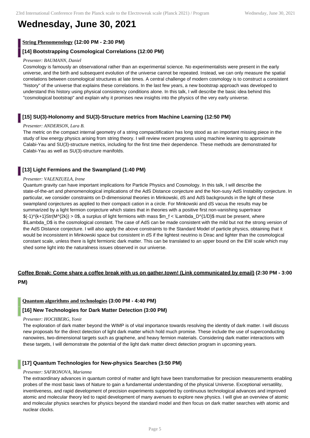## **Wednesday, June 30, 2021**

## **String Phenomenology (12:00 PM - 2:30 PM)**

## **[14] Bootstrapping Cosmological Correlations (12:00 PM)**

#### *Presenter: BAUMANN, Daniel*

Cosmology is famously an observational rather than an experimental science. No experimentalists were present in the early universe, and the birth and subsequent evolution of the universe cannot be repeated. Instead, we can only measure the spatial correlations between cosmological structures at late times. A central challenge of modern cosmology is to construct a consistent "history" of the universe that explains these correlations. In the last few years, a new bootstrap approach was developed to understand this history using physical consistency conditions alone. In this talk, I will describe the basic idea behind this "cosmological bootstrap" and explain why it promises new insights into the physics of the very early universe.

## **[15] SU(3)-Holonomy and SU(3)-Structure metrics from Machine Learning (12:50 PM)**

#### *Presenter: ANDERSON, Lara B.*

The metric on the compact internal geometry of a string compacitification has long stood as an important missing piece in the study of low energy physics arising from string theory. I will review recent progress using machine learning to approximate Calabi-Yau and SU(3)-structure metrics, including for the first time their dependence. These methods are demonstrated for Calabi-Yau as well as SU(3)-structure manifolds.

## **[13] Light Fermions and the Swampland (1:40 PM)**

#### *Presenter: VALENZUELA, Irene*

Quantum gravity can have important implications for Particle Physics and Cosmology. In this talk, I will describe the state-of-the-art and phenomenological implications of the AdS Distance conjecture and the Non-susy AdS Instability conjecture. In particular, we consider constraints on D-dimensional theories in Minkowski, dS and AdS backgrounds in the light of these swampland conjectures as applied to their compacti cation in a circle. For Minkowski and dS vacua the results may be summarized by a light fermion conjecture which states that in theories with a positive first non-vanishing supertrace \$(-1)^{k+1}Str(M^{2k}) > 0\$, a surplus of light fermions with mass \$m\_f < \Lambda\_D^{1/D}\$ must be present, where \$\Lambda\_D\$ is the cosmological constant. The case of AdS can be made consistent with the mild but not the strong version of the AdS Distance conjecture. I will also apply the above constraints to the Standard Model of particle physics, obtaining that it would be inconsistent in Minkowski space but consistent in dS if the lightest neutrino is Dirac and lighter than the cosmological constant scale, unless there is light fermionic dark matter. This can be translated to an upper bound on the EW scale which may shed some light into the naturalness issues observed in our universe.

## **Coffee Break: Come share a coffee break with us on gather.town! (Link communicated by email) (2:30 PM - 3:00 PM)**

#### **Quantum algorithms and technologies (3:00 PM - 4:40 PM)**

## **[16] New Technologies for Dark Matter Detection (3:00 PM)**

#### *Presenter: HOCHBERG, Yonit*

The exploration of dark matter beyond the WIMP is of vital importance towards resolving the identity of dark matter. I will discuss new proposals for the direct detection of light dark matter which hold much promise. These include the use of superconducting nanowires, two-dimensional targets such as graphene, and heavy fermion materials. Considering dark matter interactions with these targets, I will demonstrate the potential of the light dark matter direct detection program in upcoming years.

#### **[17] Quantum Technologies for New-physics Searches (3:50 PM)**

#### *Presenter: SAFRONOVA, Marianna*

The extraordinary advances in quantum control of matter and light have been transformative for precision measurements enabling probes of the most basic laws of Nature to gain a fundamental understanding of the physical Universe. Exceptional versatility, inventiveness, and rapid development of precision experiments supported by continuous technological advances and improved atomic and molecular theory led to rapid development of many avenues to explore new physics. I will give an overview of atomic and molecular physics searches for physics beyond the standard model and then focus on dark matter searches with atomic and nuclear clocks.